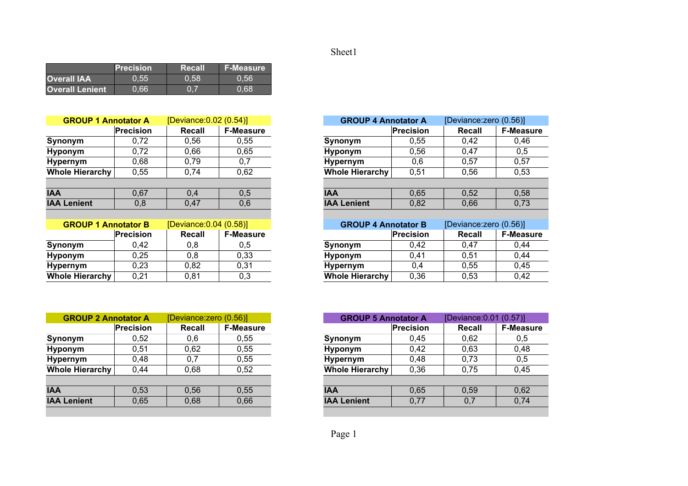## Sheet1

|                        | $\blacksquare$ Precision $\blacksquare$ | Recall | <b>F-Measure</b> |
|------------------------|-----------------------------------------|--------|------------------|
| <b>Overall IAA</b>     | 0.55                                    | 0.58   | 0.56             |
| <b>Overall Lenient</b> | 0.66                                    | 0.7    | 0.68             |

| <b>GROUP 1 Annotator A</b> |                  | [Deviance: 0.02 (0.54)] |                  | <b>GROUP 4 Annotator A</b> |           | [Deviance:zero (0.56)] |               |
|----------------------------|------------------|-------------------------|------------------|----------------------------|-----------|------------------------|---------------|
|                            | <b>Precision</b> | Recall                  | <b>F-Measure</b> |                            | Precision | Recall                 | <b>F-Meas</b> |
| Synonym                    | 0,72             | 0.56                    | 0.55             | Synonym                    | 0,55      | 0,42                   | 0,46          |
| <b>Hyponym</b>             | 0,72             | 0.66                    | 0.65             | <b>Hyponym</b>             | 0,56      | 0.47                   | 0,5           |
| <b>Hypernym</b>            | 0.68             | 0.79                    | 0,7              | <b>Hypernym</b>            | 0,6       | 0,57                   | 0,57          |
| Whole Hierarchy            | 0,55             | 0,74                    | 0,62             | <b>Whole Hierarchy</b>     | 0,51      | 0,56                   | 0,53          |
|                            |                  |                         |                  |                            |           |                        |               |
| <b>IAA</b>                 | 0.67             | 0.4                     | 0,5              | <b>IAA</b>                 | 0,65      | 0,52                   | 0,58          |
| <b>IAA Lenient</b>         | 0,8              | 0,47                    | 0,6              | <b>IAA Lenient</b>         | 0,82      | 0,66                   | 0,73          |
|                            |                  |                         |                  |                            |           |                        |               |
| <b>GROUP 1 Annotator B</b> |                  | [Deviance: 0.04 (0.58)] |                  | <b>GROUP 4 Annotator B</b> |           | [Deviance:zero (0.56)] |               |
|                            | <b>Precision</b> | Recall                  | <b>F-Measure</b> |                            | Precision | Recall                 | <b>F-Meas</b> |
| Synonym                    | 0,42             | 0,8                     | 0,5              | Synonym                    | 0,42      | 0.47                   | 0,44          |

| Synonym                | 0.42 |      | 0.5         | Synonym                | 0.42         | 0.47 | 0.44 |
|------------------------|------|------|-------------|------------------------|--------------|------|------|
| Hyponym                | 0,25 | 0.8  | 0,33        | Hyponym                | $\mathbf{A}$ | 0,51 | 0,44 |
| <b>Hypernym</b>        | 0,23 | 0,82 | ∩ ?1<br>∪.∪ | <b>Hypernym</b>        |              | 0,55 | 0,45 |
| <b>Whole Hierarchy</b> | 0,21 | 0,81 | 0.3         | <b>Whole Hierarchy</b> | 0,36         | Ე,53 | 0,42 |
|                        |      |      |             |                        |              |      |      |

| <b>GROUP 2 Annotator A</b> |           | [Deviance:zero (0.56)] |                  | <b>GROUP 5 Annotator A</b> |           | [Deviance: 0.01 (0.57)] |               |
|----------------------------|-----------|------------------------|------------------|----------------------------|-----------|-------------------------|---------------|
|                            | Precision | <b>Recall</b>          | <b>F-Measure</b> |                            | Precision | <b>Recall</b>           | <b>F-Meas</b> |
| Synonym                    | 0.52      | 0,6                    | 0,55             | Synonym                    | 0,45      | 0,62                    | 0,5           |
| Hyponym                    | 0.51      | 0.62                   | 0,55             | Hyponym                    | 0.42      | 0,63                    | 0,48          |
| Hypernym                   | 0,48      | 0,7                    | 0,55             | <b>Hypernym</b>            | 0,48      | 0,73                    | 0,5           |
| Whole Hierarchy            | 0,44      | 0,68                   | 0,52             | <b>Whole Hierarchy</b>     | 0,36      | 0,75                    | 0,45          |
|                            |           |                        |                  |                            |           |                         |               |
| <b>IAA</b>                 | 0.53      | 0.56                   | 0.55             | <b>IAA</b>                 | 0.65      | 0,59                    | 0,62          |
| <b>IAA Lenient</b>         | 0,65      | 0,68                   | 0,66             | <b>IAA Lenient</b>         | 0,77      | 0,7                     | 0,74          |

| [Deviance: 0.02 (0.54)]<br><b>GROUP 4 Annotator A</b><br><b>notator A</b> |           |  |
|---------------------------------------------------------------------------|-----------|--|
| <b>Precision</b><br><b>F-Measure</b><br>Recall                            | Precision |  |
| 0,72<br>0,56<br>0,55<br>Synonym                                           | 0,55      |  |
| 0,65<br>0,72<br>0,66<br><b>Hyponym</b>                                    | 0,56      |  |
| 0,68<br>0,79<br>0,7<br><b>Hypernym</b>                                    | 0,6       |  |
| <b>Whole Hierarchy</b><br>0,62<br>0,55<br>0,74                            | 0,51      |  |
|                                                                           |           |  |
| 0,67<br>0,5<br><b>IAA</b><br>0,4                                          | 0,65      |  |
| 0,8<br>0,6<br><b>IAA Lenient</b><br>0,47                                  | 0,82      |  |
|                                                                           |           |  |
| [Deviance: 0.04 (0.58)]<br><b>GROUP 4 Annotator B</b><br><b>notator B</b> |           |  |
| <b>Precision</b><br><b>F-Measure</b><br>Recall                            | Precision |  |
| 0,42<br>0,8<br>0,5<br>Synonym                                             | 0,42      |  |
| 0,25<br>0,33<br>0,8<br><b>Hyponym</b>                                     | 0,41      |  |
| 0,31<br>0,23<br>0,82<br><b>Hypernym</b>                                   | 0,4       |  |
| <b>Whole Hierarchy</b><br>0,3<br>0,21<br>0,81                             | 0,36      |  |

| <b>notator A</b> | [Deviance: zero (0.56)] |                  |
|------------------|-------------------------|------------------|
| <b>Precision</b> | Recall                  | <b>F-Measure</b> |
| 0,52             | 0,6                     | 0.55             |
| 0,51             | 0.62                    | 0.55             |
| 0,48             | 0.7                     | 0.55             |
| 0,44             | 0,68                    | 0,52             |
|                  |                         |                  |
| 0,53             | 0.56                    | 0.55             |
| 0,65             | 0,68                    | 0,66             |
|                  |                         |                  |

Page 1